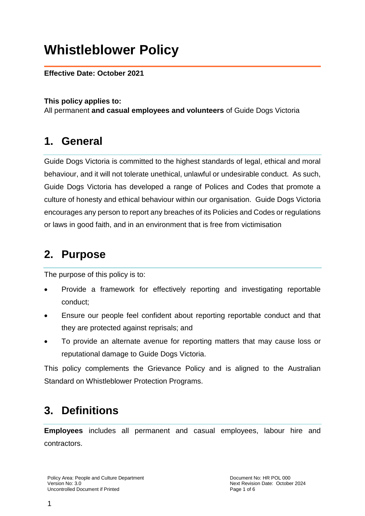# **Whistleblower Policy**

#### **Effective Date: October 2021**

#### **This policy applies to:**

All permanent **and casual employees and volunteers** of Guide Dogs Victoria

### **1. General**

Guide Dogs Victoria is committed to the highest standards of legal, ethical and moral behaviour, and it will not tolerate unethical, unlawful or undesirable conduct. As such, Guide Dogs Victoria has developed a range of Polices and Codes that promote a culture of honesty and ethical behaviour within our organisation. Guide Dogs Victoria encourages any person to report any breaches of its Policies and Codes or regulations or laws in good faith, and in an environment that is free from victimisation

### **2. Purpose**

The purpose of this policy is to:

- Provide a framework for effectively reporting and investigating reportable conduct;
- Ensure our people feel confident about reporting reportable conduct and that they are protected against reprisals; and
- To provide an alternate avenue for reporting matters that may cause loss or reputational damage to Guide Dogs Victoria.

This policy complements the Grievance Policy and is aligned to the Australian Standard on Whistleblower Protection Programs.

# **3. Definitions**

**Employees** includes all permanent and casual employees, labour hire and contractors.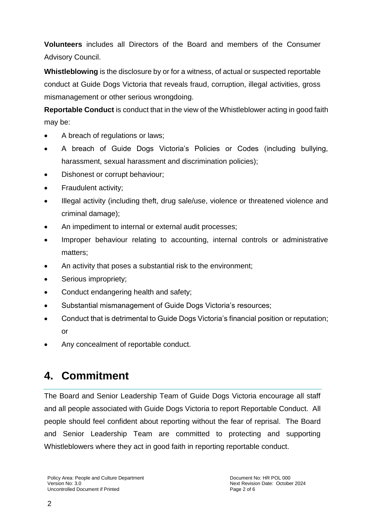**Volunteers** includes all Directors of the Board and members of the Consumer Advisory Council.

**Whistleblowing** is the disclosure by or for a witness, of actual or suspected reportable conduct at Guide Dogs Victoria that reveals fraud, corruption, illegal activities, gross mismanagement or other serious wrongdoing.

**Reportable Conduct** is conduct that in the view of the Whistleblower acting in good faith may be:

- A breach of regulations or laws;
- A breach of Guide Dogs Victoria's Policies or Codes (including bullying, harassment, sexual harassment and discrimination policies);
- Dishonest or corrupt behaviour;
- Fraudulent activity;
- Illegal activity (including theft, drug sale/use, violence or threatened violence and criminal damage);
- An impediment to internal or external audit processes;
- Improper behaviour relating to accounting, internal controls or administrative matters;
- An activity that poses a substantial risk to the environment;
- Serious impropriety;
- Conduct endangering health and safety:
- Substantial mismanagement of Guide Dogs Victoria's resources;
- Conduct that is detrimental to Guide Dogs Victoria's financial position or reputation; or
- Any concealment of reportable conduct.

# **4. Commitment**

The Board and Senior Leadership Team of Guide Dogs Victoria encourage all staff and all people associated with Guide Dogs Victoria to report Reportable Conduct. All people should feel confident about reporting without the fear of reprisal. The Board and Senior Leadership Team are committed to protecting and supporting Whistleblowers where they act in good faith in reporting reportable conduct.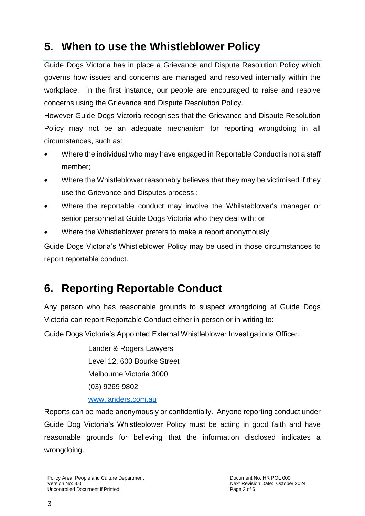# **5. When to use the Whistleblower Policy**

Guide Dogs Victoria has in place a Grievance and Dispute Resolution Policy which governs how issues and concerns are managed and resolved internally within the workplace. In the first instance, our people are encouraged to raise and resolve concerns using the Grievance and Dispute Resolution Policy.

However Guide Dogs Victoria recognises that the Grievance and Dispute Resolution Policy may not be an adequate mechanism for reporting wrongdoing in all circumstances, such as:

- Where the individual who may have engaged in Reportable Conduct is not a staff member;
- Where the Whistleblower reasonably believes that they may be victimised if they use the Grievance and Disputes process ;
- Where the reportable conduct may involve the Whilsteblower's manager or senior personnel at Guide Dogs Victoria who they deal with; or
- Where the Whistleblower prefers to make a report anonymously.

Guide Dogs Victoria's Whistleblower Policy may be used in those circumstances to report reportable conduct.

# **6. Reporting Reportable Conduct**

Any person who has reasonable grounds to suspect wrongdoing at Guide Dogs Victoria can report Reportable Conduct either in person or in writing to:

Guide Dogs Victoria's Appointed External Whistleblower Investigations Officer:

Lander & Rogers Lawyers Level 12, 600 Bourke Street Melbourne Victoria 3000 (03) 9269 9802

#### [www.landers.com.au](http://www.landers.com.au/)

Reports can be made anonymously or confidentially. Anyone reporting conduct under Guide Dog Victoria's Whistleblower Policy must be acting in good faith and have reasonable grounds for believing that the information disclosed indicates a wrongdoing.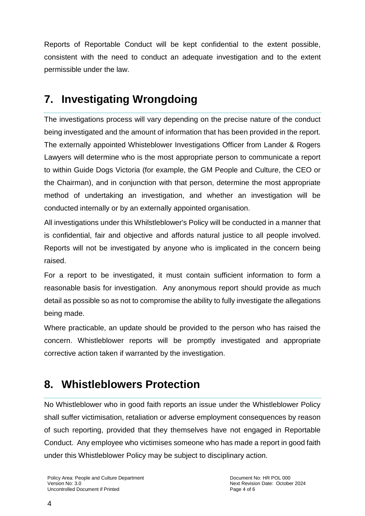Reports of Reportable Conduct will be kept confidential to the extent possible, consistent with the need to conduct an adequate investigation and to the extent permissible under the law.

## **7. Investigating Wrongdoing**

The investigations process will vary depending on the precise nature of the conduct being investigated and the amount of information that has been provided in the report. The externally appointed Whisteblower Investigations Officer from Lander & Rogers Lawyers will determine who is the most appropriate person to communicate a report to within Guide Dogs Victoria (for example, the GM People and Culture, the CEO or the Chairman), and in conjunction with that person, determine the most appropriate method of undertaking an investigation, and whether an investigation will be conducted internally or by an externally appointed organisation.

All investigations under this Whilstleblower's Policy will be conducted in a manner that is confidential, fair and objective and affords natural justice to all people involved. Reports will not be investigated by anyone who is implicated in the concern being raised.

For a report to be investigated, it must contain sufficient information to form a reasonable basis for investigation. Any anonymous report should provide as much detail as possible so as not to compromise the ability to fully investigate the allegations being made.

Where practicable, an update should be provided to the person who has raised the concern. Whistleblower reports will be promptly investigated and appropriate corrective action taken if warranted by the investigation.

# **8. Whistleblowers Protection**

No Whistleblower who in good faith reports an issue under the Whistleblower Policy shall suffer victimisation, retaliation or adverse employment consequences by reason of such reporting, provided that they themselves have not engaged in Reportable Conduct. Any employee who victimises someone who has made a report in good faith under this Whistleblower Policy may be subject to disciplinary action.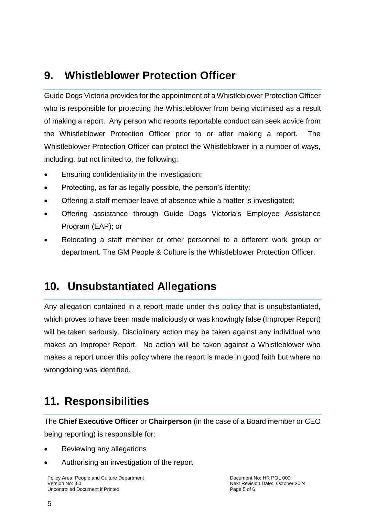### **9. Whistleblower Protection Officer**

Guide Dogs Victoria provides for the appointment of a Whistleblower Protection Officer who is responsible for protecting the Whistleblower from being victimised as a result of making a report. Any person who reports reportable conduct can seek advice from the Whistleblower Protection Officer prior to or after making a report. The Whistleblower Protection Officer can protect the Whistleblower in a number of ways, including, but not limited to, the following:

- Ensuring confidentiality in the investigation;
- Protecting, as far as legally possible, the person's identity;
- Offering a staff member leave of absence while a matter is investigated;
- Offering assistance through Guide Dogs Victoria's Employee Assistance Program (EAP); or
- Relocating a staff member or other personnel to a different work group or department. The GM People & Culture is the Whistleblower Protection Officer.

### **10. Unsubstantiated Allegations**

Any allegation contained in a report made under this policy that is unsubstantiated, which proves to have been made maliciously or was knowingly false (Improper Report) will be taken seriously. Disciplinary action may be taken against any individual who makes an Improper Report. No action will be taken against a Whistleblower who makes a report under this policy where the report is made in good faith but where no wrongdoing was identified.

### **11. Responsibilities**

The **Chief Executive Officer** or **Chairperson** (in the case of a Board member or CEO being reporting) is responsible for:

- Reviewing any allegations
- Authorising an investigation of the report

Policy Area: People and Culture Department Document No: HR POL 000 Version No: 3.0<br>
Uncontrolled Document if Printed and the state of the state of the Mexican Page 5 of 6<br>
Uncontrolled Document if Printed and the state of the South Page 5 of 6 Uncontrolled Document if Printed